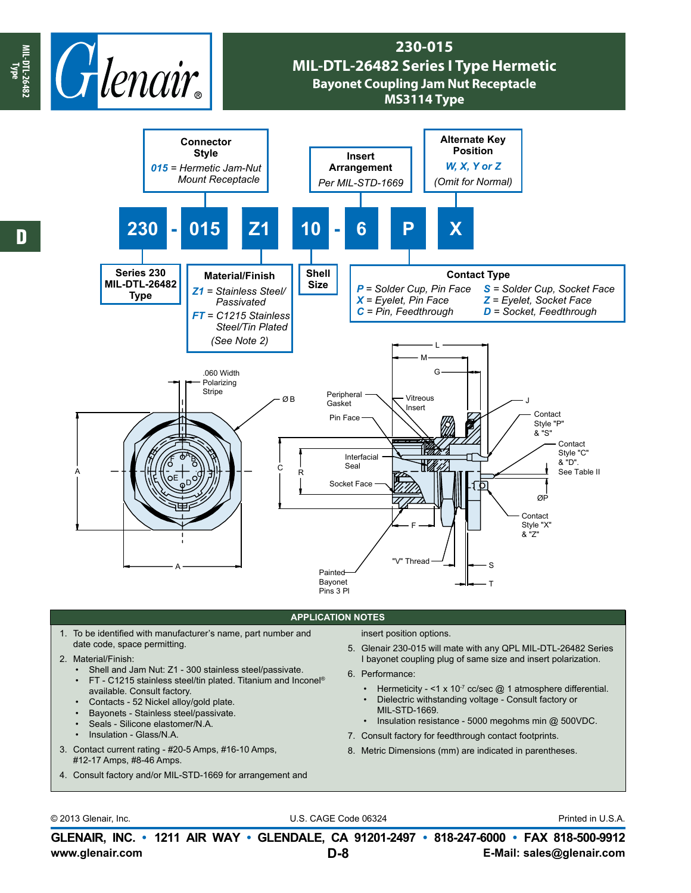

## **230-015 MIL-DTL-26482 Series I Type Hermetic Bayonet Coupling Jam Nut Receptacle MS3114 Type**



## **APPLICATION NOTES**

- 1. To be identified with manufacturer's name, part number and date code, space permitting.
- 2. Material/Finish:
	- Shell and Jam Nut: Z1 300 stainless steel/passivate.
	- FT C1215 stainless steel/tin plated. Titanium and Inconel® available. Consult factory.
	- Contacts 52 Nickel alloy/gold plate.
	- Bayonets Stainless steel/passivate.
	- Seals Silicone elastomer/N.A.
	- Insulation Glass/N.A.
- 3. Contact current rating #20-5 Amps, #16-10 Amps, #12-17 Amps, #8-46 Amps.
- 4. Consult factory and/or MIL-STD-1669 for arrangement and

insert position options.

- 5. Glenair 230-015 will mate with any QPL MIL-DTL-26482 Series I bayonet coupling plug of same size and insert polarization.
- 6. Performance:
	- Hermeticity <1 x 10<sup>-7</sup> cc/sec  $@$  1 atmosphere differential.
	- Dielectric withstanding voltage Consult factory or
	- MIL-STD-1669.
- Insulation resistance 5000 megohms min @ 500VDC.
- 7. Consult factory for feedthrough contact footprints.
- 8. Metric Dimensions (mm) are indicated in parentheses.

© 2013 Glenair, Inc. U.S. CAGE Code 06324 Printed in U.S.A.

**www.glenair.com E-Mail: sales@glenair.com GLENAIR, INC. • 1211 AIR WAY • GLENDALE, CA 91201-2497 • 818-247-6000 • FAX 818-500-9912 D-8**

**MIL-DTL-26482 Type**